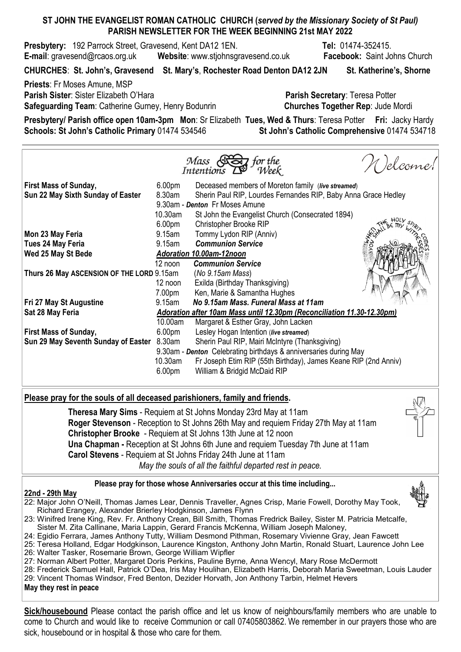# ST JOHN THE EVANGELIST ROMAN CATHOLIC CHURCH (served by the Missionary Society of St Paul) PARISH NEWSLETTER FOR THE WEEK BEGINNING 21st MAY 2022

**Presbytery:** 192 Parrock Street, Gravesend, Kent DA12 1EN. Tel: 01474-352415. E-mail: gravesend@rcaos.org.uk Website: www.stjohnsgravesend.co.uk Facebook: Saint Johns Church

CHURCHES: St. John's, Gravesend St. Mary's, Rochester Road Denton DA12 2JN St. Katherine's, Shorne

Priests: Fr Moses Amune, MSP Parish Sister: Sister Elizabeth O'Hara **Parish Secretary: Teresa Potter** Parish Secretary: Teresa Potter Safeguarding Team: Catherine Gurney, Henry Bodunrin Churches Together Rep: Jude Mordi

Presbytery/ Parish office open 10am-3pm Mon: Sr Elizabeth Tues, Wed & Thurs: Teresa Potter Fri: Jacky Hardy Schools: St John's Catholic Primary 01474 534546 St John's Catholic Comprehensive 01474 534718

|                                           |                                                                        | Mass Stay for the<br>Intentions $D^{\circ}$ Week                | N )elcome! |
|-------------------------------------------|------------------------------------------------------------------------|-----------------------------------------------------------------|------------|
| <b>First Mass of Sunday,</b>              | 6.00 <sub>pm</sub>                                                     | Deceased members of Moreton family (live streamed)              |            |
| Sun 22 May Sixth Sunday of Easter         | 8.30am                                                                 | Sherin Paul RIP, Lourdes Fernandes RIP, Baby Anna Grace Hedley  |            |
|                                           | 9.30am - Denton Fr Moses Amune                                         |                                                                 |            |
|                                           | 10.30am                                                                | St John the Evangelist Church (Consecrated 1894)                |            |
|                                           | 6.00 <sub>pm</sub>                                                     | Christopher Brooke RIP                                          |            |
| Mon 23 May Feria                          |                                                                        | 9.15am Tommy Lydon RIP (Anniv)                                  |            |
| <b>Tues 24 May Feria</b>                  |                                                                        | 9.15am Communion Service                                        |            |
| Wed 25 May St Bede                        |                                                                        | Adoration 10.00am-12noon                                        |            |
|                                           | 12 noon                                                                | <b>Communion Service</b>                                        |            |
| Thurs 26 May ASCENSION OF THE LORD 9.15am |                                                                        | (No 9.15am Mass)                                                |            |
|                                           | 12 noon                                                                | Exilda (Birthday Thanksgiving)                                  |            |
|                                           | 7.00pm                                                                 | Ken, Marie & Samantha Hughes                                    |            |
| Fri 27 May St Augustine                   | 9.15am                                                                 | No 9.15am Mass, Funeral Mass at 11am                            |            |
| Sat 28 May Feria                          | Adoration after 10am Mass until 12.30pm (Reconciliation 11.30-12.30pm) |                                                                 |            |
|                                           | 10.00am                                                                | Margaret & Esther Gray, John Lacken                             |            |
| <b>First Mass of Sunday,</b>              | 6.00 <sub>pm</sub>                                                     | Lesley Hogan Intention (live streamed)                          |            |
| Sun 29 May Seventh Sunday of Easter       | 8.30am                                                                 | Sherin Paul RIP, Mairi McIntyre (Thanksgiving)                  |            |
|                                           | 9.30am - Denton Celebrating birthdays & anniversaries during May       |                                                                 |            |
|                                           | 10.30am                                                                | Fr Joseph Etim RIP (55th Birthday), James Keane RIP (2nd Anniv) |            |
|                                           | 6.00 <sub>pm</sub>                                                     | William & Bridgid McDaid RIP                                    |            |
|                                           |                                                                        |                                                                 |            |

## Please pray for the souls of all deceased parishioners, family and friends.

Theresa Mary Sims - Requiem at St Johns Monday 23rd May at 11am Roger Stevenson - Reception to St Johns 26th May and requiem Friday 27th May at 11am Christopher Brooke - Requiem at St Johns 13th June at 12 noon Una Chapman - Reception at St Johns 6th June and requiem Tuesday 7th June at 11am Carol Stevens - Requiem at St Johns Friday 24th June at 11am May the souls of all the faithful departed rest in peace.

### Please pray for those whose Anniversaries occur at this time including...

### 22nd - 29th May

- 22: Major John O'Neill, Thomas James Lear, Dennis Traveller, Agnes Crisp, Marie Fowell, Dorothy May Took, Richard Erangey, Alexander Brierley Hodgkinson, James Flynn
- 23: Winifred Irene King, Rev. Fr. Anthony Crean, Bill Smith, Thomas Fredrick Bailey, Sister M. Patricia Metcalfe, Sister M. Zita Callinane, Maria Lappin, Gerard Francis McKenna, William Joseph Maloney,
- 24: Egidio Ferrara, James Anthony Tutty, William Desmond Pithman, Rosemary Vivienne Gray, Jean Fawcett
- 25: Teresa Holland, Edgar Hodgkinson, Laurence Kingston, Anthony John Martin, Ronald Stuart, Laurence John Lee 26: Walter Tasker, Rosemarie Brown, George William Wipfler
- 27: Norman Albert Potter, Margaret Doris Perkins, Pauline Byrne, Anna Wencyl, Mary Rose McDermott
- 28: Frederick Samuel Hall, Patrick O'Dea, Iris May Houlihan, Elizabeth Harris, Deborah Maria Sweetman, Louis Lauder
- 29: Vincent Thomas Windsor, Fred Benton, Dezider Horvath, Jon Anthony Tarbin, Helmet Hevers

### May they rest in peace

Sick/housebound Please contact the parish office and let us know of neighbours/family members who are unable to come to Church and would like to receive Communion or call 07405803862. We remember in our prayers those who are sick, housebound or in hospital & those who care for them.